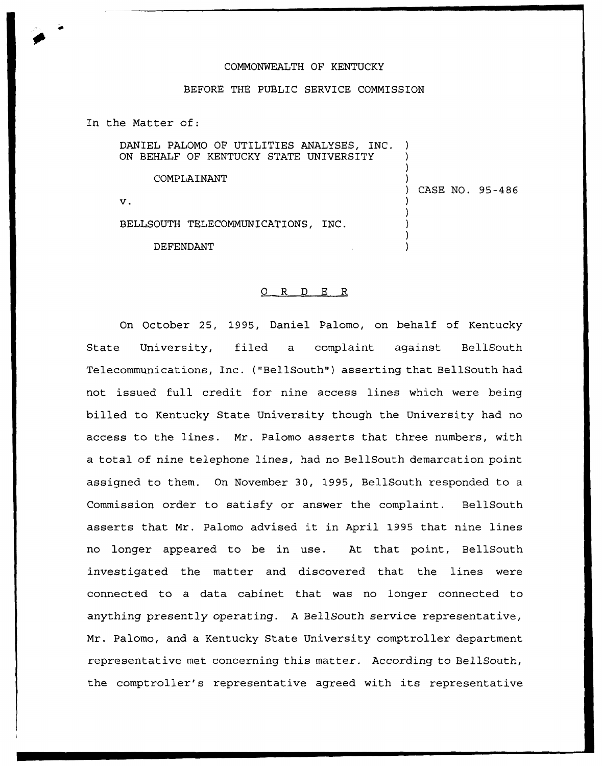## COMMONWEALTH OF KENTUCKY

## BEFORE THE PUBLIC SERVICE COMMISSION

In the Matter of:

DANIEL PALOMO OF UTILITIES ANALYSES, INC. ON BEHALF OF KENTUCKY STATE UNIVERSITY

COMPLAINANT )

 $\mathbf v$ .

BELLSOUTH TELECOMMUNICATIONS, INC

**DEFENDANT** 

## 0 R <sup>D</sup> E R

On October 25, 1995, Daniel Palomo, on behalf of Kentucky State University, filed a complaint against BellSouth Telecommunications, Inc. ("BellSouth") asserting that BellSouth had not issued full credit for nine access lines which were being billed to Kentucky State University though the University had no access to the lines. Mr. Palomo asserts that three numbers, with a total of nine telephone lines, had no BellSouth demarcation point assigned to them. On November 30, 1995, BellSouth responded to a Commission order to satisfy or answer the complaint. BellSouth asserts that Mr. Palomo advised it in April 1995 that nine lines no longer appeared to be in use. At that point, BellSouth investigated the matter and discovered that the lines were connected to a data cabinet that was no longer connected to anything presently operating. <sup>A</sup> BellSouth service representative, Mr. Palomo, and a Kentucky State University comptroller department representative met concerning this matter. According to BellSouth, the comptroller's representative agreed with its representative

) CASE NO. 95-486

)

) ) )